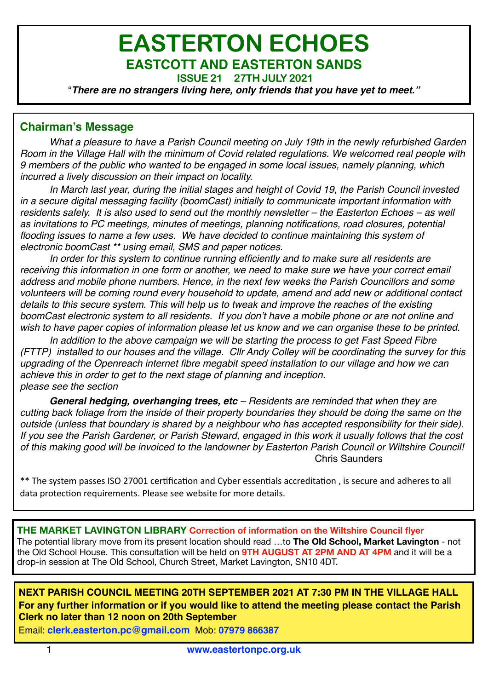# **EASTERTON ECHOES EASTCOTT AND EASTERTON SANDS**

**ISSUE 21 27TH JULY 2021** 

"*There are no strangers living here, only friends that you have yet to meet."*

# **Chairman's Message**

*What a pleasure to have a Parish Council meeting on July 19th in the newly refurbished Garden Room in the Village Hall with the minimum of Covid related regulations. We welcomed real people with 9 members of the public who wanted to be engaged in some local issues, namely planning, which incurred a lively discussion on their impact on locality.* 

*In March last year, during the initial stages and height of Covid 19, the Parish Council invested in a secure digital messaging facility (boomCast) initially to communicate important information with residents safely. It is also used to send out the monthly newsletter – the Easterton Echoes – as well as invitations to PC meetings, minutes of meetings, planning notifications, road closures, potential flooding issues to name a few uses. W*e *have decided to continue maintaining this system of electronic boomCast \*\* using email, SMS and paper notices.* 

*In order for this system to continue running efficiently and to make sure all residents are receiving this information in one form or another, we need to make sure we have your correct email address and mobile phone numbers. Hence, in the next few weeks the Parish Councillors and some volunteers will be coming round every household to update, amend and add new or additional contact details to this secure system. This will help us to tweak and improve the reaches of the existing boomCast electronic system to all residents. If you don't have a mobile phone or are not online and wish to have paper copies of information please let us know and we can organise these to be printed.*

*In addition to the above campaign we will be starting the process to get Fast Speed Fibre (FTTP) installed to our houses and the village. Cllr Andy Colley will be coordinating the survey for this upgrading of the Openreach internet fibre megabit speed installation to our village and how we can achieve this in order to get to the next stage of planning and inception. please see the section* 

*General hedging, overhanging trees, etc – Residents are reminded that when they are cutting back foliage from the inside of their property boundaries they should be doing the same on the outside (unless that boundary is shared by a neighbour who has accepted responsibility for their side). If you see the Parish Gardener, or Parish Steward, engaged in this work it usually follows that the cost of this making good will be invoiced to the landowner by Easterton Parish Council or Wiltshire Council!* Chris Saunders

\*\* The system passes ISO 27001 certification and Cyber essentials accreditation, is secure and adheres to all data protection requirements. Please see website for more details.

**THE MARKET LAVINGTON LIBRARY Correction of information on the Wiltshire Council flyer**  The potential library move from its present location should read …to **The Old School, Market Lavington** - not the Old School House. This consultation will be held on **9TH AUGUST AT 2PM AND AT 4PM** and it will be a drop-in session at The Old School, Church Street, Market Lavington, SN10 4DT.

**NEXT PARISH COUNCIL MEETING 20TH SEPTEMBER 2021 AT 7:30 PM IN THE VILLAGE HALL For any further information or if you would like to attend the meeting please contact the Parish Clerk no later than 12 noon on 20th September** 

Email: **[clerk.easterton.pc@gmail.com](mailto:clerk.easterton.pc@gmail.com)** Mob: **07979 866387**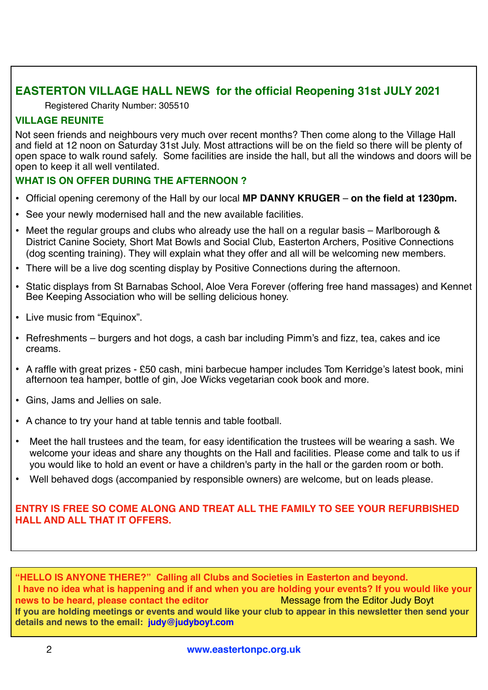# **EASTERTON VILLAGE HALL NEWS for the official Reopening 31st JULY 2021**

Registered Charity Number: 305510

# **VILLAGE REUNITE**

Not seen friends and neighbours very much over recent months? Then come along to the Village Hall and field at 12 noon on Saturday 31st July. Most attractions will be on the field so there will be plenty of open space to walk round safely. Some facilities are inside the hall, but all the windows and doors will be open to keep it all well ventilated.

# **WHAT IS ON OFFER DURING THE AFTERNOON ?**

- Official opening ceremony of the Hall by our local **MP DANNY KRUGER** – **on the field at 1230pm.**
- See your newly modernised hall and the new available facilities.
- Meet the regular groups and clubs who already use the hall on a regular basis Marlborough & District Canine Society, Short Mat Bowls and Social Club, Easterton Archers, Positive Connections (dog scenting training). They will explain what they offer and all will be welcoming new members.
- There will be a live dog scenting display by Positive Connections during the afternoon.
- Static displays from St Barnabas School, Aloe Vera Forever (offering free hand massages) and Kennet Bee Keeping Association who will be selling delicious honey.
- Live music from "Equinox".
- Refreshments burgers and hot dogs, a cash bar including Pimm's and fizz, tea, cakes and ice creams.
- A raffle with great prizes £50 cash, mini barbecue hamper includes Tom Kerridge's latest book, mini afternoon tea hamper, bottle of gin, Joe Wicks vegetarian cook book and more.
- Gins, Jams and Jellies on sale.
- A chance to try your hand at table tennis and table football.
- Meet the hall trustees and the team, for easy identification the trustees will be wearing a sash. We welcome your ideas and share any thoughts on the Hall and facilities. Please come and talk to us if you would like to hold an event or have a children's party in the hall or the garden room or both.
- Well behaved dogs (accompanied by responsible owners) are welcome, but on leads please.

### **ENTRY IS FREE SO COME ALONG AND TREAT ALL THE FAMILY TO SEE YOUR REFURBISHED HALL AND ALL THAT IT OFFERS.**

**"HELLO IS ANYONE THERE?" Calling all Clubs and Societies in Easterton and beyond. I have no idea what is happening and if and when you are holding your events? If you would like your news to be heard, please contact the editor** Message from the Editor Judy Boyt **If you are holding meetings or events and would like your club to appear in this newsletter then send your details and news to the email: [judy@judyboyt.com](mailto:judy@judyboyt.com)**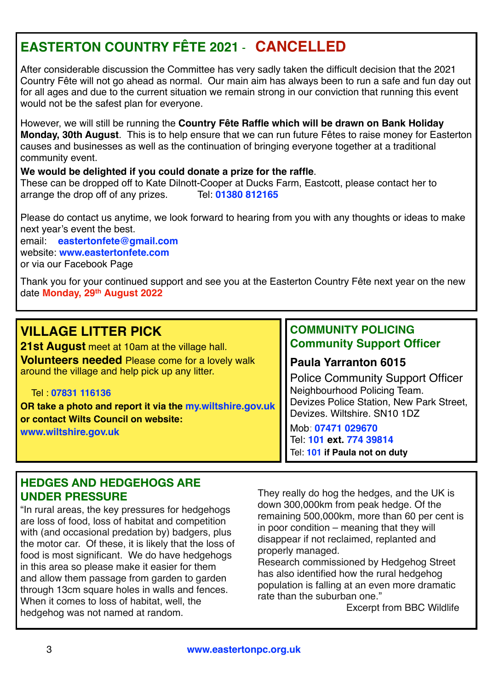# **EASTERTON COUNTRY FÊTE 2021** - **CANCELLED**

After considerable discussion the Committee has very sadly taken the difficult decision that the 2021 Country Fête will not go ahead as normal. Our main aim has always been to run a safe and fun day out for all ages and due to the current situation we remain strong in our conviction that running this event would not be the safest plan for everyone.

However, we will still be running the **Country Fête Raffle which will be drawn on Bank Holiday Monday, 30th August**. This is to help ensure that we can run future Fêtes to raise money for Easterton causes and businesses as well as the continuation of bringing everyone together at a traditional community event.

### **We would be delighted if you could donate a prize for the raffle**.

These can be dropped off to Kate Dilnott-Cooper at Ducks Farm, Eastcott, please contact her to arrange the drop off of any prizes.<br>
Tel: 01380 812165 arrange the drop off of any prizes.

Please do contact us anytime, we look forward to hearing from you with any thoughts or ideas to make next year's event the best.

email: **[eastertonfete@gmail.com](mailto:eastertonfete@gmail.com)** website: **[www.eastertonfete.com](http://www.eastertonfete.com/)** or via our Facebook Page

Thank you for your continued support and see you at the Easterton Country Fête next year on the new date **Monday, 29th August 2022**

| <b>VILLAGE LITTER PICK</b>                                | <b>COMMUNITY POLICING</b>                                                     |
|-----------------------------------------------------------|-------------------------------------------------------------------------------|
| 21st August meet at 10am at the village hall.             | <b>Community Support Officer</b>                                              |
| <b>Volunteers needed Please come for a lovely walk</b>    | <b>Paula Yarranton 6015</b>                                                   |
| around the village and help pick up any litter.           | <b>Police Community Support Officer</b>                                       |
| Tel 07831 116136                                          | Neighbourhood Policing Team.                                                  |
| OR take a photo and report it via the my.wiltshire.gov.uk | Devizes Police Station, New Park Street,                                      |
| or contact Wilts Council on website:                      | Devizes. Wiltshire. SN10 1DZ                                                  |
| www.wiltshire.gov.uk                                      | Mob: 07471 029670<br>Tel: 101 ext. 774 39814<br>Tel: 101 if Paula not on duty |

# **HEDGES AND HEDGEHOGS ARE UNDER PRESSURE**

"In rural areas, the key pressures for hedgehogs are loss of food, loss of habitat and competition with (and occasional predation by) badgers, plus the motor car. Of these, it is likely that the loss of food is most significant. We do have hedgehogs in this area so please make it easier for them and allow them passage from garden to garden through 13cm square holes in walls and fences. When it comes to loss of habitat, well, the hedgehog was not named at random.

They really do hog the hedges, and the UK is down 300,000km from peak hedge. Of the remaining 500,000km, more than 60 per cent is in poor condition – meaning that they will disappear if not reclaimed, replanted and properly managed.

Research commissioned by Hedgehog Street has also identified how the rural hedgehog population is falling at an even more dramatic rate than the suburban one."

Excerpt from BBC Wildlife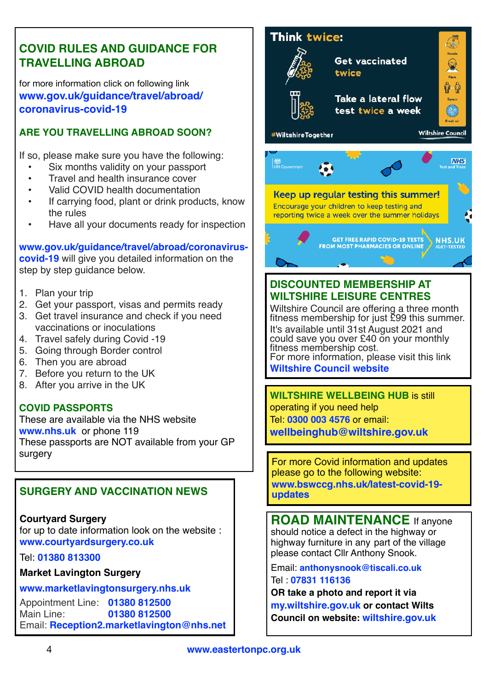# **COVID RULES AND GUIDANCE FOR TRAVELLING ABROAD**

for more information click on following link **[www.gov.uk/guidance/travel/abroad/](https://www.gov.uk/guidance/travel-abroad-from-england-during-coronavirus-covid-19) [coronavirus-covid-19](https://www.gov.uk/guidance/travel-abroad-from-england-during-coronavirus-covid-19)**

# **ARE YOU TRAVELLING ABROAD SOON?**

If so, please make sure you have the following:

- Six months validity on your passport
- Travel and health insurance cover
- Valid COVID health documentation
- If carrying food, plant or drink products, know the rules
- Have all your documents ready for inspection

**[www.gov.uk/guidance/travel/abroad/coronavirus](https://www.gov.uk/guidance/travel-abroad-from-england-during-coronavirus-covid-19)[covid-19](https://www.gov.uk/guidance/travel-abroad-from-england-during-coronavirus-covid-19)** will give you detailed information on the step by step quidance below.

- 1. Plan your trip
- 2. Get your passport, visas and permits ready
- 3. Get travel insurance and check if you need vaccinations or inoculations
- 4. Travel safely during Covid -19
- 5. Going through Border control
- 6. Then you are abroad
- 7. Before you return to the UK
- 8. After you arrive in the UK

# **COVID PASSPORTS**

These are available via the NHS website **[www.nhs.uk](http://www.nhs.uk)** or phone 119 These passports are NOT available from your GP surgery

# **SURGERY AND VACCINATION NEWS**

**Courtyard Surgery**  for up to date information look on the website : **[www.courtyardsurgery.co.uk](http://www.courtyardsurgery.co.uk)**

Tel: **01380 813300**

**Market Lavington Surgery** 

#### **[www.marketlavingtonsurgery.nhs.uk](http://www.marketlavingtonsurgery.nhs.uk)**

Appointment Line: **01380 812500** Main Line: **01380 812500** Email: **[Reception2.marketlavington@nhs.net](mailto:Reception2.marketlavington@nhs.net)**



# **DISCOUNTED MEMBERSHIP AT WILTSHIRE LEISURE CENTRES**

Wiltshire Council are offering a three month fitness membership for just £99 this summer. It's available until 31st August 2021 and could save you over £40 on your monthly fitness membership cost. For more information, please visit this link **[Wiltshire Council website](https://wiltshire.us5.list-manage.com/track/click?u=2883905f726c9fc694bef8b9e&id=9d9e79ff67&e=98c7e020c7)** 

**WILTSHIRE WELLBEING HUB** is still operating if you need help Tel: **0300 003 4576** or email: **[wellbeinghub@wiltshire.gov.uk](mailto:wellbeinghub@wiltshire.gov.uk)**

For more Covid information and updates please go to the following website: **[www.bswccg.nhs.uk/latest-covid-19](https://www.bswccg.nhs.uk/latest-covid-19-updates) [updates](https://www.bswccg.nhs.uk/latest-covid-19-updates)**

**ROAD MAINTENANCE** If anyone should notice a defect in the highway or highway furniture in any part of the village please contact Cllr Anthony Snook.

Email: **anthonysnook@tiscali.co.uk**Tel : **07831 116136**

**OR take a photo and report it via [my.wiltshire.gov.uk](http://my.wiltshire.gov.uk) or contact Wilts Council on website: [wiltshire.gov.uk](http://wiltshire.gov.uk)**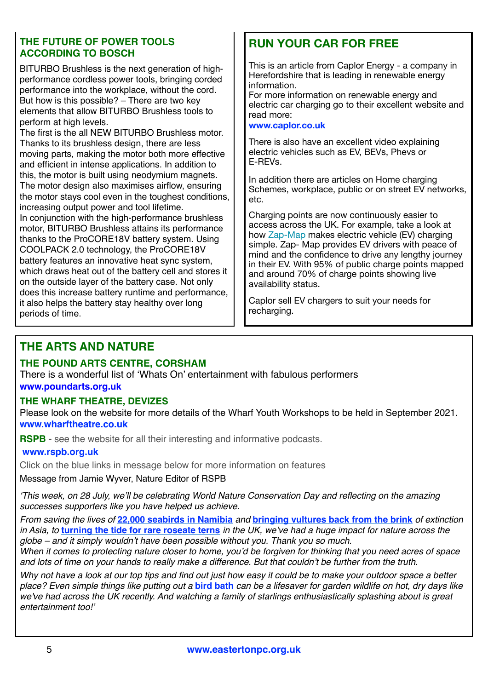# **THE FUTURE OF POWER TOOLS ACCORDING TO BOSCH**

BITURBO Brushless is the next generation of highperformance cordless power tools, bringing corded performance into the workplace, without the cord. But how is this possible? – There are two key elements that allow BITURBO Brushless tools to perform at high levels.

The first is the all NEW BITURBO Brushless motor. Thanks to its brushless design, there are less moving parts, making the motor both more effective and efficient in intense applications. In addition to this, the motor is built using neodymium magnets. The motor design also maximises airflow, ensuring the motor stays cool even in the toughest conditions, increasing output power and tool lifetime.

In conjunction with the high-performance brushless motor, BITURBO Brushless attains its performance thanks to the ProCORE18V battery system. Using COOLPACK 2.0 technology, the ProCORE18V battery features an innovative heat sync system, which draws heat out of the battery cell and stores it on the outside layer of the battery case. Not only does this increase battery runtime and performance, it also helps the battery stay healthy over long periods of time.

# **RUN YOUR CAR FOR FREE**

This is an article from Caplor Energy - a company in Herefordshire that is leading in renewable energy information.

For more information on renewable energy and electric car charging go to their excellent website and read more:

#### **[www.caplor.co.uk](http://www.caplor.co.uk)**

There is also have an excellent video explaining electric vehicles such as EV, BEVs, Phevs or E-REVs.

In addition there are articles on Home charging Schemes, workplace, public or on street EV networks, etc.

Charging points are now continuously easier to access across the UK. For example, take a look at how [Zap-Map m](https://caplor.us1.list-manage.com/track/click?u=4451dc47c8efc705990c41184&id=55df428aa8&e=2e266a4ae6)akes electric vehicle (EV) charging simple. Zap- Map provides EV drivers with peace of mind and the confidence to drive any lengthy journey in their EV. With 95% of public charge points mapped and around 70% of charge points showing live availability status.

Caplor sell EV chargers to suit your needs for recharging.

# **THE ARTS AND NATURE**

# **THE POUND ARTS CENTRE, CORSHAM**

There is a wonderful list of 'Whats On' entertainment with fabulous performers **[www.poundarts.org.uk](http://www.poundarts.org.uk)**

# **THE WHARF THEATRE, DEVIZES**

Please look on the website for more details of the Wharf Youth Workshops to be held in September 2021. **[www.wharftheatre.co.uk](http://www.wharftheatre.co.uk)** 

**RSPB** - see the website for all their interesting and informative podcasts.

# **[www.rspb.org.uk](http://www.rspb.org.uk)**

Click on the blue links in message below for more information on features

Message from Jamie Wyver, Nature Editor of RSPB

*'This week, on 28 July, we'll be celebrating World Nature Conservation Day and reflecting on the amazing successes supporters like you have helped us achieve.*

*From saving the lives of* **[22,000 seabirds in Namibia](https://click.email.rspb.org.uk/?qs=a6ed6915255d2faf305667d55e4335cdabeaf5fa8b8f2f2631b7678a7544c3fe60839181872642b51e632ebf00f56b830a48d55133c6ac2d4a2e10e74b98dcf1)** *and* **[bringing vultures back from the brink](https://click.email.rspb.org.uk/?qs=a6ed6915255d2faf39303cadec0a6af3ed84cfdf87a6606a7e294c8a91cbf849986af4f9fdf2502d60f2db0d226928f4abe1f2b3d08bb7ccdcc59f78de954cc7)** *of extinction in Asia, to* **[turning the tide for rare roseate terns](https://click.email.rspb.org.uk/?qs=a6ed6915255d2faf1428f64d619251c154e4db70b3ff18464fa7850fa1ca0ee10c05c50927ba0393be8451007f448e945f792217707743aeb8d6d6211d3cdd40)** *in the UK, we've had a huge impact for nature across the globe – and it simply wouldn't have been possible without you. Thank you so much.* 

*When it comes to protecting nature closer to home, you'd be forgiven for thinking that you need acres of space and lots of time on your hands to really make a difference. But that couldn't be further from the truth.* 

*Why not have a look at our top tips and find out just how easy it could be to make your outdoor space a better place? Even simple things like putting out a* **[bird bath](https://click.email.rspb.org.uk/?qs=a6ed6915255d2faffedaa69382501888d1a65c4b86c73a65c0ca1a3e31f60b193ed77533879dd8c624f7513ecf631da55ac2a9fb068b08fd0d245c23f3c04388)** *can be a lifesaver for garden wildlife on hot, dry days like*  we've had across the UK recently. And watching a family of starlings enthusiastically splashing about is great *entertainment too!'*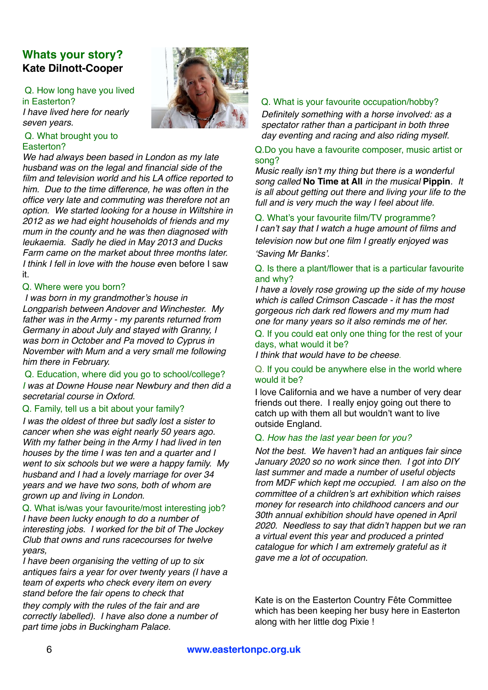# **Whats your story? Kate Dilnott-Cooper**

Q. How long have you lived in Easterton? *I have lived here for nearly seven years.*

#### Q. What brought you to Easterton?

*We had always been based in London as my late husband was on the legal and financial side of the film and television world and his LA office reported to him. Due to the time difference, he was often in the office very late and commuting was therefore not an option. We started looking for a house in Wiltshire in 2012 as we had eight households of friends and my mum in the county and he was then diagnosed with leukaemia. Sadly he died in May 2013 and Ducks Farm came on the market about three months later. I think I fell in love with the house e*ven before I saw it.

#### Q. Where were you born?

*I was born in my grandmother's house in Longparish between Andover and Winchester. My father was in the Army - my parents returned from Germany in about July and stayed with Granny, I was born in October and Pa moved to Cyprus in November with Mum and a very small me following him there in February.*

#### Q. Education, where did you go to school/college? *I was at Downe House near Newbury and then did a secretarial course in Oxford.*

#### Q. Family, tell us a bit about your family?

*I was the oldest of three but sadly lost a sister to cancer when she was eight nearly 50 years ago. With my father being in the Army I had lived in ten houses by the time I was ten and a quarter and I went to six schools but we were a happy family. My husband and I had a lovely marriage for over 34 years and we have two sons, both of whom are grown up and living in London.*

#### Q. What is/was your favourite/most interesting job?

*I have been lucky enough to do a number of interesting jobs. I worked for the bit of The Jockey Club that owns and runs racecourses for twelve years,* 

*I have been organising the vetting of up to six antiques fairs a year for over twenty years (I have a team of experts who check every item on every stand before the fair opens to check that they comply with the rules of the fair and are correctly labelled). I have also done a number of* 

*part time jobs in Buckingham Palace.*



#### Q. What is your favourite occupation/hobby?

*Definitely something with a horse involved: as a spectator rather than a participant in both three day eventing and racing and also riding myself.*

#### Q.Do you have a favourite composer, music artist or song?

*Music really isn't my thing but there is a wonderful song called* **No Time at All** *in the musical* **Pippin***. It is all about getting out there and living your life to the full and is very much the way I feel about life.*

#### Q. What's your favourite film/TV programme?

*I can't say that I watch a huge amount of films and television now but one film I greatly enjoyed was 'Saving Mr Banks'.*

#### Q. Is there a plant/flower that is a particular favourite and why?

*I have a lovely rose growing up the side of my house which is called Crimson Cascade - it has the most gorgeous rich dark red flowers and my mum had one for many years so it also reminds me of her.*

#### Q. If you could eat only one thing for the rest of your days, what would it be?

*I think that would have to be cheese*.

#### Q. If you could be anywhere else in the world where would it be?

I love California and we have a number of very dear friends out there. I really enjoy going out there to catch up with them all but wouldn't want to live outside England.

#### Q. *How has the last year been for you?*

*Not the best. We haven't had an antiques fair since January 2020 so no work since then. I got into DIY last summer and made a number of useful objects from MDF which kept me occupied. I am also on the committee of a children's art exhibition which raises money for research into childhood cancers and our 30th annual exhibition should have opened in April 2020. Needless to say that didn't happen but we ran a virtual event this year and produced a printed catalogue for which I am extremely grateful as it gave me a lot of occupation.*

Kate is on the Easterton Country Fête Committee which has been keeping her busy here in Easterton along with her little dog Pixie !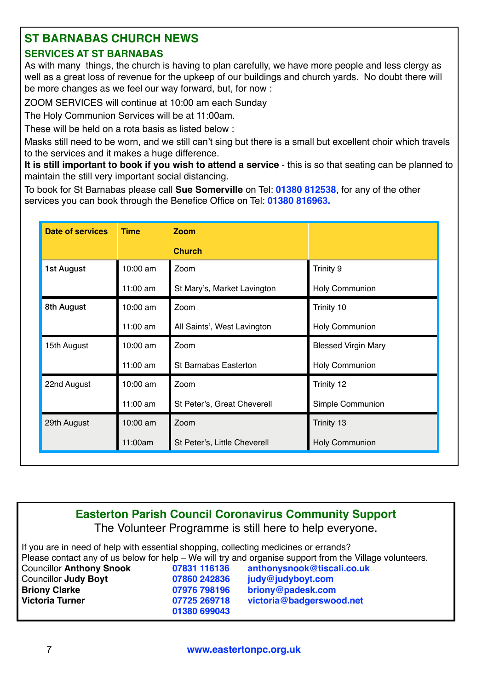# **ST BARNABAS CHURCH NEWS**

# **SERVICES AT ST BARNABAS**

As with many things, the church is having to plan carefully, we have more people and less clergy as well as a great loss of revenue for the upkeep of our buildings and church yards. No doubt there will be more changes as we feel our way forward, but, for now :

ZOOM SERVICES will continue at 10:00 am each Sunday

The Holy Communion Services will be at 11:00am.

These will be held on a rota basis as listed below :

Masks still need to be worn, and we still can't sing but there is a small but excellent choir which travels to the services and it makes a huge difference.

**It is still important to book if you wish to attend a service** - this is so that seating can be planned to maintain the still very important social distancing.

To book for St Barnabas please call **Sue Somerville** on Tel: **01380 812538**, for any of the other services you can book through the Benefice Office on Tel: **01380 816963.**

| <b>Date of services</b> | <b>Time</b> | <b>Zoom</b>                  |                            |
|-------------------------|-------------|------------------------------|----------------------------|
|                         |             | <b>Church</b>                |                            |
| 1st August              | 10:00 am    | Zoom                         | Trinity 9                  |
|                         | 11:00 am    | St Mary's, Market Lavington  | Holy Communion             |
| 8th August              | 10:00 am    | Zoom                         | Trinity 10                 |
|                         | $11:00$ am  | All Saints', West Lavington  | Holy Communion             |
| 15th August             | 10:00 am    | Zoom                         | <b>Blessed Virgin Mary</b> |
|                         | $11:00$ am  | St Barnabas Easterton        | Holy Communion             |
| 22nd August             | 10:00 am    | Zoom                         | Trinity 12                 |
|                         | $11:00$ am  | St Peter's, Great Cheverell  | Simple Communion           |
| 29th August             | 10:00 am    | Zoom                         | Trinity 13                 |
|                         | 11:00am     | St Peter's, Little Cheverell | <b>Holy Communion</b>      |

**Easterton Parish Council Coronavirus Community Support**

The Volunteer Programme is still here to help everyone.

If you are in need of help with essential shopping, collecting medicines or errands? Please contact any of us below for help – We will try and organise support from the Village volunteers. Councillor **Anthony Snook 07831 116136 [anthonysnook@tiscali.co.uk](mailto:anthonysnook@tiscali.co.uk)** Councillor **Judy Boyt 07860 242836 [judy@judyboyt.com](mailto:judy@judyboyt.com) Briony Clarke 07976 798196 [briony@padesk.com](mailto:briony@padesk.com) Victoria Turner 07725 269718 [victoria@badgerswood.net](mailto:victoria@badgerswood.net) 01380 699043**